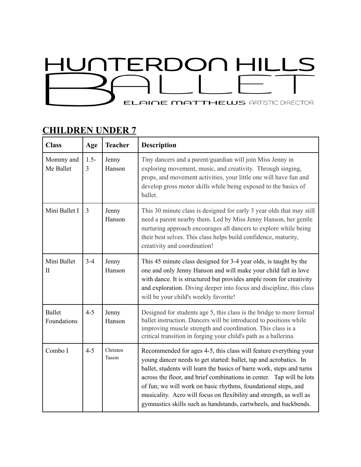## HUNTERDON HILLS **ELAINE MATTHEWS ARTISTIC DIRECTOR**

## **CHILDREN UNDER 7**

| <b>Class</b>                 | Age          | <b>Teacher</b>     | <b>Description</b>                                                                                                                                                                                                                                                                                                                                                                                                                                                                                   |
|------------------------------|--------------|--------------------|------------------------------------------------------------------------------------------------------------------------------------------------------------------------------------------------------------------------------------------------------------------------------------------------------------------------------------------------------------------------------------------------------------------------------------------------------------------------------------------------------|
| Mommy and<br>Me Ballet       | $1.5 -$<br>3 | Jenny<br>Hanson    | Tiny dancers and a parent/guardian will join Miss Jenny in<br>exploring movement, music, and creativity. Through singing,<br>props, and movement activities, your little one will have fun and<br>develop gross motor skills while being exposed to the basics of<br>ballet.                                                                                                                                                                                                                         |
| Mini Ballet I                | 3            | Jenny<br>Hanson    | This 30 minute class is designed for early 3 year olds that may still<br>need a parent nearby them. Led by Miss Jenny Hanson, her gentle<br>nurturing approach encourages all dancers to explore while being<br>their best selves. This class helps build confidence, maturity,<br>creativity and coordination!                                                                                                                                                                                      |
| Mini Ballet<br>$_{\rm II}$   | $3 - 4$      | Jenny<br>Hanson    | This 45 minute class designed for 3-4 year olds, is taught by the<br>one and only Jenny Hanson and will make your child fall in love<br>with dance. It is structured but provides ample room for creativity<br>and exploration. Diving deeper into focus and discipline, this class<br>will be your child's weekly favorite!                                                                                                                                                                         |
| <b>Ballet</b><br>Foundations | $4 - 5$      | Jenny<br>Hanson    | Designed for students age 5, this class is the bridge to more formal<br>ballet instruction. Dancers will be introduced to positions while<br>improving muscle strength and coordination. This class is a<br>critical transition in forging your child's path as a ballerina.                                                                                                                                                                                                                         |
| Combo I                      | $4 - 5$      | Christen<br>Tassin | Recommended for ages 4-5, this class will feature everything your<br>young dancer needs to get started: ballet, tap and acrobatics. In<br>ballet, students will learn the basics of barre work, steps and turns<br>across the floor, and brief combinations in center. Tap will be lots<br>of fun; we will work on basic rhythms, foundational steps, and<br>musicality. Acro will focus on flexibility and strength, as well as<br>gymnastics skills such as handstands, cartwheels, and backbends. |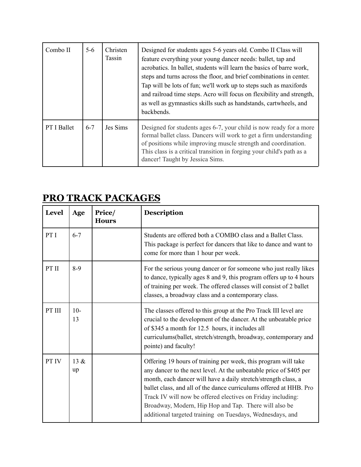| Combo II           | $5 - 6$ | <b>Christen</b><br>Tassin | Designed for students ages 5-6 years old. Combo II Class will<br>feature everything your young dancer needs: ballet, tap and<br>acrobatics. In ballet, students will learn the basics of barre work,<br>steps and turns across the floor, and brief combinations in center.<br>Tap will be lots of fun; we'll work up to steps such as maxifords<br>and railroad time steps. Acro will focus on flexibility and strength,<br>as well as gymnastics skills such as handstands, cartwheels, and<br>backbends. |
|--------------------|---------|---------------------------|-------------------------------------------------------------------------------------------------------------------------------------------------------------------------------------------------------------------------------------------------------------------------------------------------------------------------------------------------------------------------------------------------------------------------------------------------------------------------------------------------------------|
| <b>PT I Ballet</b> | $6 - 7$ | Jes Sims                  | Designed for students ages 6-7, your child is now ready for a more<br>formal ballet class. Dancers will work to get a firm understanding<br>of positions while improving muscle strength and coordination.<br>This class is a critical transition in forging your child's path as a<br>dancer! Taught by Jessica Sims.                                                                                                                                                                                      |

## **PRO TRACK PACKAGES**

| <b>Level</b> | Age         | Price/<br><b>Hours</b> | <b>Description</b>                                                                                                                                                                                                                                                                                                                                                                                                                                                |
|--------------|-------------|------------------------|-------------------------------------------------------------------------------------------------------------------------------------------------------------------------------------------------------------------------------------------------------------------------------------------------------------------------------------------------------------------------------------------------------------------------------------------------------------------|
| PT I         | $6 - 7$     |                        | Students are offered both a COMBO class and a Ballet Class.<br>This package is perfect for dancers that like to dance and want to<br>come for more than 1 hour per week.                                                                                                                                                                                                                                                                                          |
| PT II        | $8-9$       |                        | For the serious young dancer or for someone who just really likes<br>to dance, typically ages 8 and 9, this program offers up to 4 hours<br>of training per week. The offered classes will consist of 2 ballet<br>classes, a broadway class and a contemporary class.                                                                                                                                                                                             |
| PT III       | $10-$<br>13 |                        | The classes offered to this group at the Pro Track III level are<br>crucial to the development of the dancer. At the unbeatable price<br>of \$345 a month for 12.5 hours, it includes all<br>curriculums(ballet, stretch/strength, broadway, contemporary and<br>pointe) and faculty!                                                                                                                                                                             |
| PT IV        | 13 &<br>up  |                        | Offering 19 hours of training per week, this program will take<br>any dancer to the next level. At the unbeatable price of \$405 per<br>month, each dancer will have a daily stretch/strength class, a<br>ballet class, and all of the dance curriculums offered at HHB. Pro<br>Track IV will now be offered electives on Friday including:<br>Broadway, Modern, Hip Hop and Tap. There will also be<br>additional targeted training on Tuesdays, Wednesdays, and |